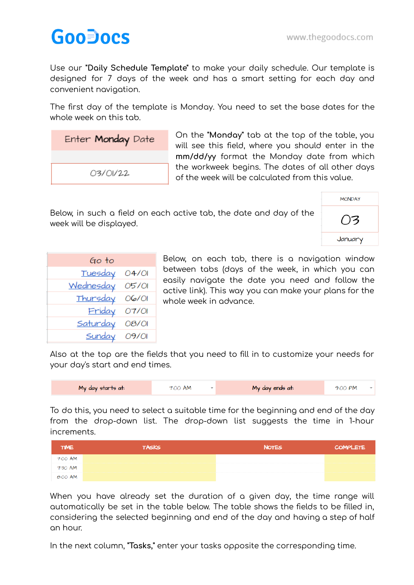## **GooDocs**

Use our **"Daily Schedule Template"** to make your daily schedule. Our template is designed for 7 days of the week and has a smart setting for each day and convenient navigation.

The first day of the template is Monday. You need to set the base dates for the whole week on this tab.

| Enter Monday Date |  |  |  |
|-------------------|--|--|--|
|                   |  |  |  |
| 03/01/22          |  |  |  |

On the **"Monday"** tab at the top of the table, you will see this field, where you should enter in the **mm/dd/yy** format the Monday date from which the workweek begins. The dates of all other days of the week will be calculated from this value.

Below, in such a field on each active tab, the date and day of the week will be displayed.

| <b>MONDAY</b>  |
|----------------|
| $\overline{5}$ |
| January        |

| Go to          |       |
|----------------|-------|
| <b>Tuesday</b> | O4/OI |
| Wednesday      | 05/01 |
| Thursday       | 06/01 |
| Friday         | O7/OI |
| Saturday       | 08/01 |
| <b>Sunday</b>  | 09/01 |

Below, on each tab, there is a navigation window between tabs (days of the week, in which you can easily navigate the date you need and follow the active link). This way you can make your plans for the whole week in advance.

Also at the top are the fields that you need to fill in to customize your needs for your day's start and end times.

| My day starts at: | 7:00 AM |  | My day ends at: | 9:00 PM |  |  |
|-------------------|---------|--|-----------------|---------|--|--|
|-------------------|---------|--|-----------------|---------|--|--|

To do this, you need to select a suitable time for the beginning and end of the day from the drop-down list. The drop-down list suggests the time in 1-hour increments.

| <b>TIME</b> | <b>TASKS</b> | <b>NOTES</b> | <b>COMPLETE</b> |
|-------------|--------------|--------------|-----------------|
| 7:00 AM     |              |              |                 |
| 7:30 AM     |              |              |                 |
| 8:00 AM     |              |              |                 |

When you have already set the duration of a given day, the time range will automatically be set in the table below. The table shows the fields to be filled in, considering the selected beginning and end of the day and having a step of half an hour.

In the next column, **"Tasks,"** enter your tasks opposite the corresponding time.